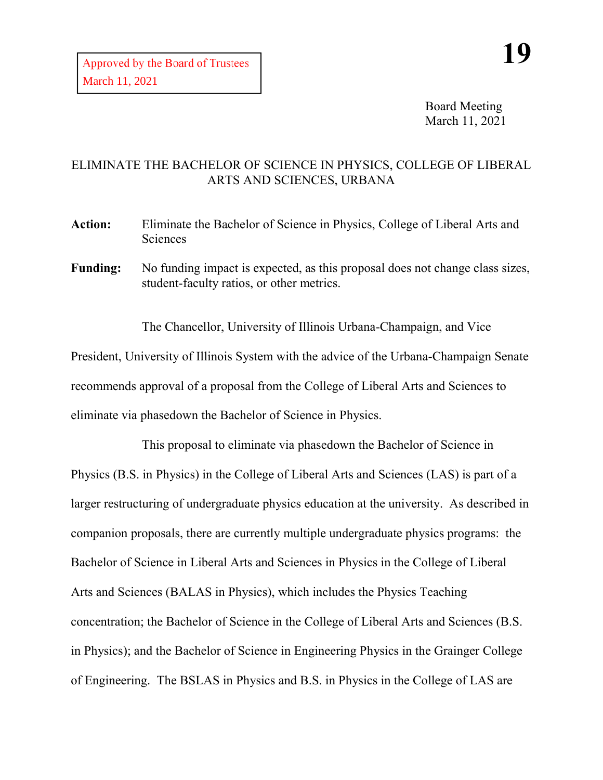Board Meeting March 11, 2021

## ELIMINATE THE BACHELOR OF SCIENCE IN PHYSICS, COLLEGE OF LIBERAL ARTS AND SCIENCES, URBANA

- **Action:** Eliminate the Bachelor of Science in Physics, College of Liberal Arts and Sciences
- Funding: No funding impact is expected, as this proposal does not change class sizes, student-faculty ratios, or other metrics.

The Chancellor, University of Illinois Urbana-Champaign, and Vice President, University of Illinois System with the advice of the Urbana-Champaign Senate recommends approval of a proposal from the College of Liberal Arts and Sciences to eliminate via phasedown the Bachelor of Science in Physics.

This proposal to eliminate via phasedown the Bachelor of Science in Physics (B.S. in Physics) in the College of Liberal Arts and Sciences (LAS) is part of a larger restructuring of undergraduate physics education at the university. As described in companion proposals, there are currently multiple undergraduate physics programs: the Bachelor of Science in Liberal Arts and Sciences in Physics in the College of Liberal Arts and Sciences (BALAS in Physics), which includes the Physics Teaching concentration; the Bachelor of Science in the College of Liberal Arts and Sciences (B.S. in Physics); and the Bachelor of Science in Engineering Physics in the Grainger College of Engineering. The BSLAS in Physics and B.S. in Physics in the College of LAS are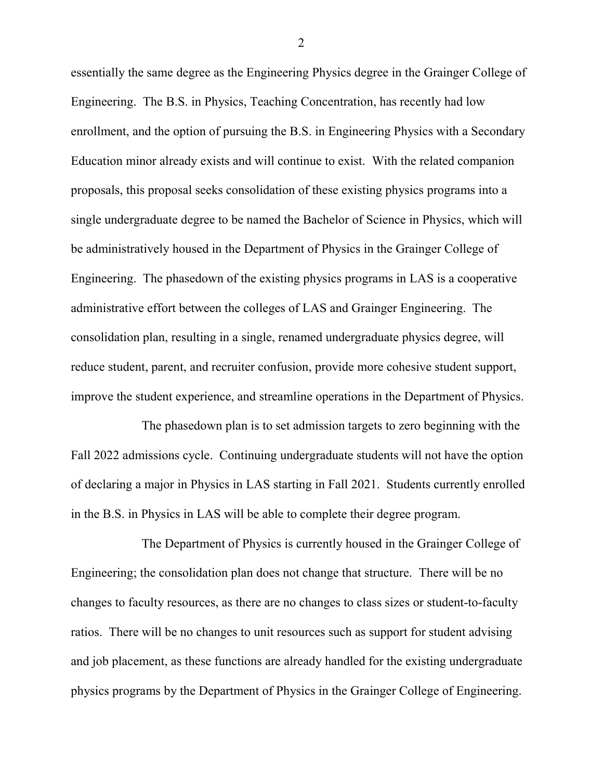essentially the same degree as the Engineering Physics degree in the Grainger College of Engineering. The B.S. in Physics, Teaching Concentration, has recently had low enrollment, and the option of pursuing the B.S. in Engineering Physics with a Secondary Education minor already exists and will continue to exist. With the related companion proposals, this proposal seeks consolidation of these existing physics programs into a single undergraduate degree to be named the Bachelor of Science in Physics, which will be administratively housed in the Department of Physics in the Grainger College of Engineering. The phasedown of the existing physics programs in LAS is a cooperative administrative effort between the colleges of LAS and Grainger Engineering. The consolidation plan, resulting in a single, renamed undergraduate physics degree, will reduce student, parent, and recruiter confusion, provide more cohesive student support, improve the student experience, and streamline operations in the Department of Physics.

The phasedown plan is to set admission targets to zero beginning with the Fall 2022 admissions cycle. Continuing undergraduate students will not have the option of declaring a major in Physics in LAS starting in Fall 2021. Students currently enrolled in the B.S. in Physics in LAS will be able to complete their degree program.

The Department of Physics is currently housed in the Grainger College of Engineering; the consolidation plan does not change that structure. There will be no changes to faculty resources, as there are no changes to class sizes or student-to-faculty ratios. There will be no changes to unit resources such as support for student advising and job placement, as these functions are already handled for the existing undergraduate physics programs by the Department of Physics in the Grainger College of Engineering.

2